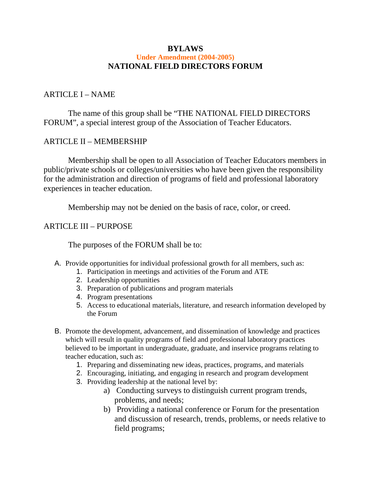#### **BYLAWS Under Amendment (2004-2005) NATIONAL FIELD DIRECTORS FORUM**

#### ARTICLE I – NAME

 The name of this group shall be "THE NATIONAL FIELD DIRECTORS FORUM", a special interest group of the Association of Teacher Educators.

#### ARTICLE II – MEMBERSHIP

 Membership shall be open to all Association of Teacher Educators members in public/private schools or colleges/universities who have been given the responsibility for the administration and direction of programs of field and professional laboratory experiences in teacher education.

Membership may not be denied on the basis of race, color, or creed.

# ARTICLE III – PURPOSE

The purposes of the FORUM shall be to:

- A. Provide opportunities for individual professional growth for all members, such as:
	- 1. Participation in meetings and activities of the Forum and ATE
	- 2. Leadership opportunities
	- 3. Preparation of publications and program materials
	- 4. Program presentations
	- 5. Access to educational materials, literature, and research information developed by the Forum
- B. Promote the development, advancement, and dissemination of knowledge and practices which will result in quality programs of field and professional laboratory practices believed to be important in undergraduate, graduate, and inservice programs relating to teacher education, such as:
	- 1. Preparing and disseminating new ideas, practices, programs, and materials
	- 2. Encouraging, initiating, and engaging in research and program development
	- 3. Providing leadership at the national level by:
		- a) Conducting surveys to distinguish current program trends, problems, and needs;
		- b) Providing a national conference or Forum for the presentation and discussion of research, trends, problems, or needs relative to field programs;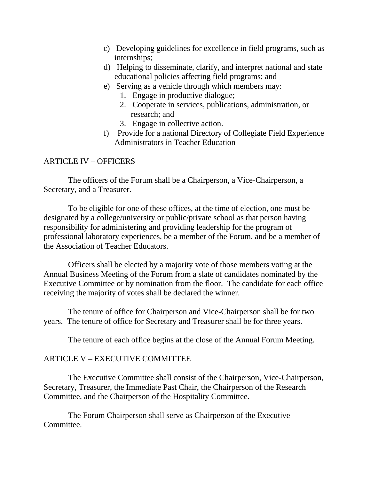- c) Developing guidelines for excellence in field programs, such as internships;
- d) Helping to disseminate, clarify, and interpret national and state educational policies affecting field programs; and
- e) Serving as a vehicle through which members may:
	- 1. Engage in productive dialogue;
	- 2. Cooperate in services, publications, administration, or research; and
	- 3. Engage in collective action.
- f) Provide for a national Directory of Collegiate Field Experience Administrators in Teacher Education

# ARTICLE IV – OFFICERS

 The officers of the Forum shall be a Chairperson, a Vice-Chairperson, a Secretary, and a Treasurer.

 To be eligible for one of these offices, at the time of election, one must be designated by a college/university or public/private school as that person having responsibility for administering and providing leadership for the program of professional laboratory experiences, be a member of the Forum, and be a member of the Association of Teacher Educators.

 Officers shall be elected by a majority vote of those members voting at the Annual Business Meeting of the Forum from a slate of candidates nominated by the Executive Committee or by nomination from the floor. The candidate for each office receiving the majority of votes shall be declared the winner.

 The tenure of office for Chairperson and Vice-Chairperson shall be for two years. The tenure of office for Secretary and Treasurer shall be for three years.

The tenure of each office begins at the close of the Annual Forum Meeting.

## ARTICLE V – EXECUTIVE COMMITTEE

 The Executive Committee shall consist of the Chairperson, Vice-Chairperson, Secretary, Treasurer, the Immediate Past Chair, the Chairperson of the Research Committee, and the Chairperson of the Hospitality Committee.

 The Forum Chairperson shall serve as Chairperson of the Executive Committee.